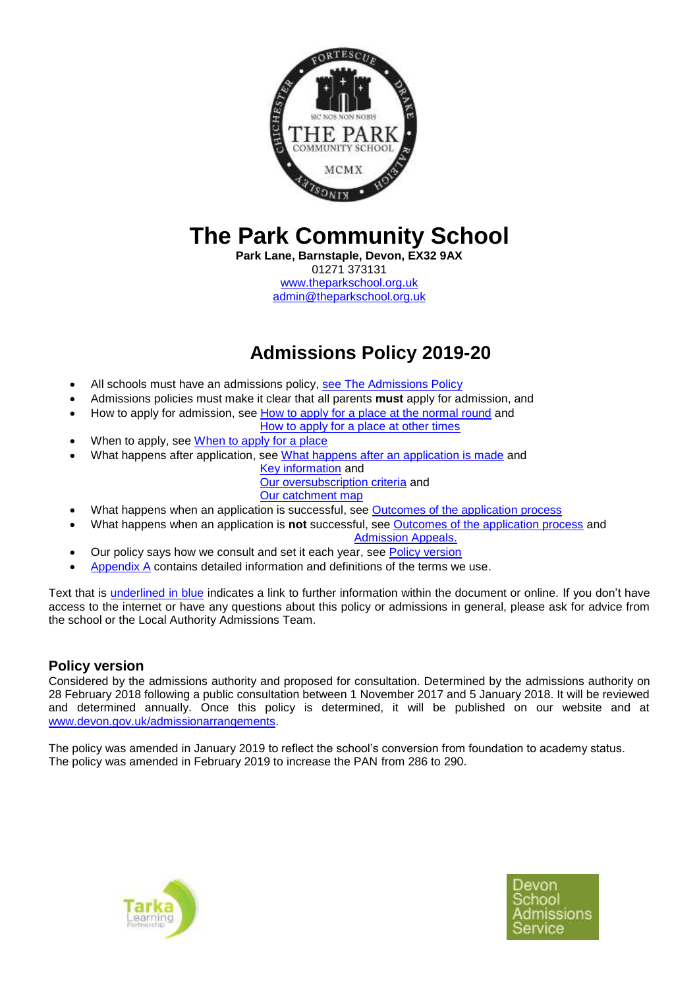

# **The Park Community School**

**Park Lane, Barnstaple, Devon, EX32 9AX** 01271 373131 [www.theparkschool.org.uk](http://www.theparkschool.org.uk/) [admin@theparkschool.org.uk](mailto:admin@theparkschool.org.uk)

## **Admissions Policy 2019-20**

- All schools must have an admissions policy, [see The Admissions Policy](#page-3-0)
- Admissions policies must make it clear that all parents **must** apply for admission, and
- How to apply for admission, see [How to apply for a place at the normal round](#page-3-1) and
- [How to apply for a place at other times](#page-3-2)
- When to apply, see [When to apply for a place](#page-3-2)
- What happens after application, see [What happens after an application is made](#page-3-3) and
	- [Key information](#page-1-0) and [Our oversubscription criteria](#page-1-1) and
	- [Our catchment map](#page-2-0)
- What happens when an application is successful, see [Outcomes of the application process](#page-4-0)
- What happens when an application is **not** successful, see [Outcomes of the application process](#page-4-0) and

[Admission Appeals.](#page-5-0)

- Our policy says how we consult and set it each year, see [Policy version](#page-0-0)
- [Appendix A](#page-5-1) contains detailed information and definitions of the terms we use.

Text that is underlined in blue indicates a link to further information within the document or online. If you don't have access to the internet or have any questions about this policy or admissions in general, please ask for advice from the school or the Local Authority Admissions Team.

## <span id="page-0-0"></span>**Policy version**

Considered by the admissions authority and proposed for consultation. Determined by the admissions authority on 28 February 2018 following a public consultation between 1 November 2017 and 5 January 2018. It will be reviewed and determined annually. Once this policy is determined, it will be published on our website and at [www.devon.gov.uk/admissionarrangements.](http://www.devon.gov.uk/admissionarrangements)

The policy was amended in January 2019 to reflect the school's conversion from foundation to academy status. The policy was amended in February 2019 to increase the PAN from 286 to 290.



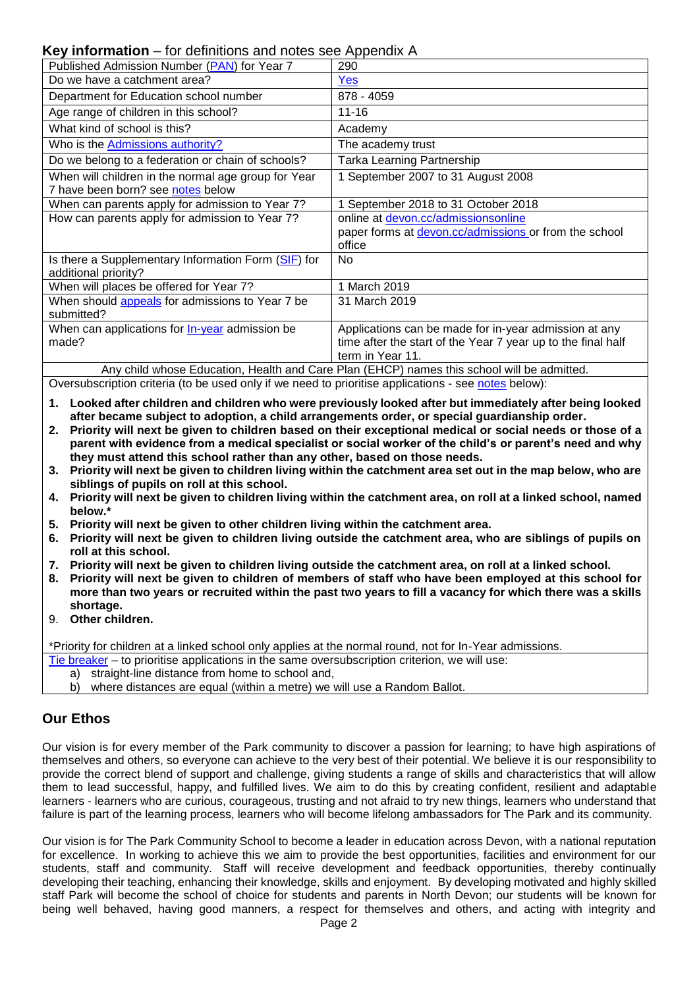### <span id="page-1-0"></span>**Key information** – for definitions and notes see Appendix A

| $\mathbf{R}$ intermation for admittance and notes see ripperial. A                         |                                                              |  |
|--------------------------------------------------------------------------------------------|--------------------------------------------------------------|--|
| Published Admission Number (PAN) for Year 7                                                | 290                                                          |  |
| Do we have a catchment area?                                                               | Yes                                                          |  |
| Department for Education school number                                                     | 878 - 4059                                                   |  |
| Age range of children in this school?                                                      | $11 - 16$                                                    |  |
| What kind of school is this?                                                               | Academy                                                      |  |
| Who is the Admissions authority?                                                           | The academy trust                                            |  |
| Do we belong to a federation or chain of schools?                                          | Tarka Learning Partnership                                   |  |
| When will children in the normal age group for Year                                        | 1 September 2007 to 31 August 2008                           |  |
| 7 have been born? see notes below                                                          |                                                              |  |
| When can parents apply for admission to Year 7?                                            | 1 September 2018 to 31 October 2018                          |  |
| How can parents apply for admission to Year 7?                                             | online at devon.cc/admissionsonline                          |  |
|                                                                                            | paper forms at devon.cc/admissions or from the school        |  |
|                                                                                            | office                                                       |  |
| Is there a Supplementary Information Form (SIF) for                                        | No.                                                          |  |
| additional priority?                                                                       |                                                              |  |
| When will places be offered for Year 7?                                                    | 1 March 2019                                                 |  |
| When should appeals for admissions to Year 7 be                                            | 31 March 2019                                                |  |
| submitted?                                                                                 |                                                              |  |
| When can applications for <b>In-year</b> admission be                                      | Applications can be made for in-year admission at any        |  |
| made?                                                                                      | time after the start of the Year 7 year up to the final half |  |
|                                                                                            | term in Year 11.                                             |  |
| Any child whose Education, Health and Care Plan (EHCP) names this school will be admitted. |                                                              |  |

<span id="page-1-1"></span>Oversubscription criteria (to be used only if we need to prioritise applications - see [notes](#page-11-0) below):

- **1. Looked after children and children who were previously looked after but immediately after being looked after became subject to adoption, a child arrangements order, or special guardianship order.**
- **2. Priority will next be given to children based on their exceptional medical or social needs or those of a parent with evidence from a medical specialist or social worker of the child's or parent's need and why they must attend this school rather than any other, based on those needs.**
- **3. Priority will next be given to children living within the catchment area set out in the map below, who are siblings of pupils on roll at this school.**
- **4. Priority will next be given to children living within the catchment area, on roll at a linked school, named below.\***
- **5. Priority will next be given to other children living within the catchment area.**
- **6. Priority will next be given to children living outside the catchment area, who are siblings of pupils on roll at this school.**
- **7. Priority will next be given to children living outside the catchment area, on roll at a linked school.**
- **8. Priority will next be given to children of members of staff who have been employed at this school for more than two years or recruited within the past two years to fill a vacancy for which there was a skills shortage.**
- 9. **Other children.**

\*Priority for children at a linked school only applies at the normal round, not for In-Year admissions.

- [Tie breaker](#page-12-2) to prioritise applications in the same oversubscription criterion, we will use:
	- a) straight-line distance from home to school and,
	- b) where distances are equal (within a metre) we will use a Random Ballot.

### **Our Ethos**

Our vision is for every member of the Park community to discover a passion for learning; to have high aspirations of themselves and others, so everyone can achieve to the very best of their potential. We believe it is our responsibility to provide the correct blend of support and challenge, giving students a range of skills and characteristics that will allow them to lead successful, happy, and fulfilled lives. We aim to do this by creating confident, resilient and adaptable learners - learners who are curious, courageous, trusting and not afraid to try new things, learners who understand that failure is part of the learning process, learners who will become lifelong ambassadors for The Park and its community.

Our vision is for The Park Community School to become a leader in education across Devon, with a national reputation for excellence. In working to achieve this we aim to provide the best opportunities, facilities and environment for our students, staff and community. Staff will receive development and feedback opportunities, thereby continually developing their teaching, enhancing their knowledge, skills and enjoyment. By developing motivated and highly skilled staff Park will become the school of choice for students and parents in North Devon; our students will be known for being well behaved, having good manners, a respect for themselves and others, and acting with integrity and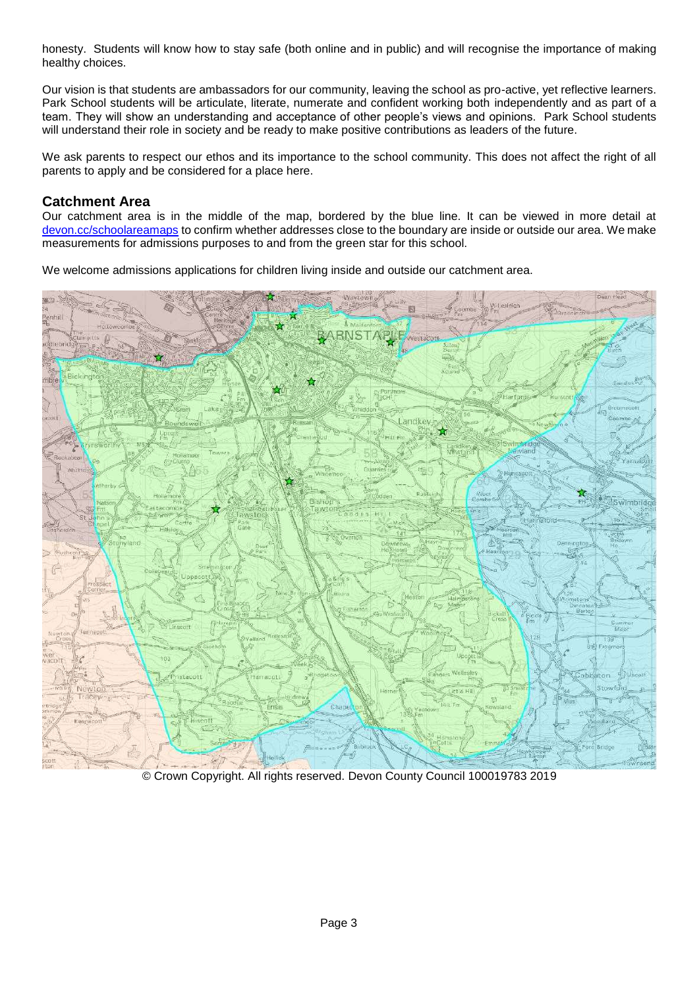honesty. Students will know how to stay safe (both online and in public) and will recognise the importance of making healthy choices.

Our vision is that students are ambassadors for our community, leaving the school as pro-active, yet reflective learners. Park School students will be articulate, literate, numerate and confident working both independently and as part of a team. They will show an understanding and acceptance of other people's views and opinions. Park School students will understand their role in society and be ready to make positive contributions as leaders of the future.

We ask parents to respect our ethos and its importance to the school community. This does not affect the right of all parents to apply and be considered for a place here.

### <span id="page-2-0"></span>**Catchment Area**

Our catchment area is in the middle of the map, bordered by the blue line. It can be viewed in more detail at [devon.cc/schoolareamaps](http://devon.cc/schoolareamaps) to confirm whether addresses close to the boundary are inside or outside our area. We make measurements for admissions purposes to and from the green star for this school.

We welcome admissions applications for children living inside and outside our catchment area.



© Crown Copyright. All rights reserved. Devon County Council 100019783 2019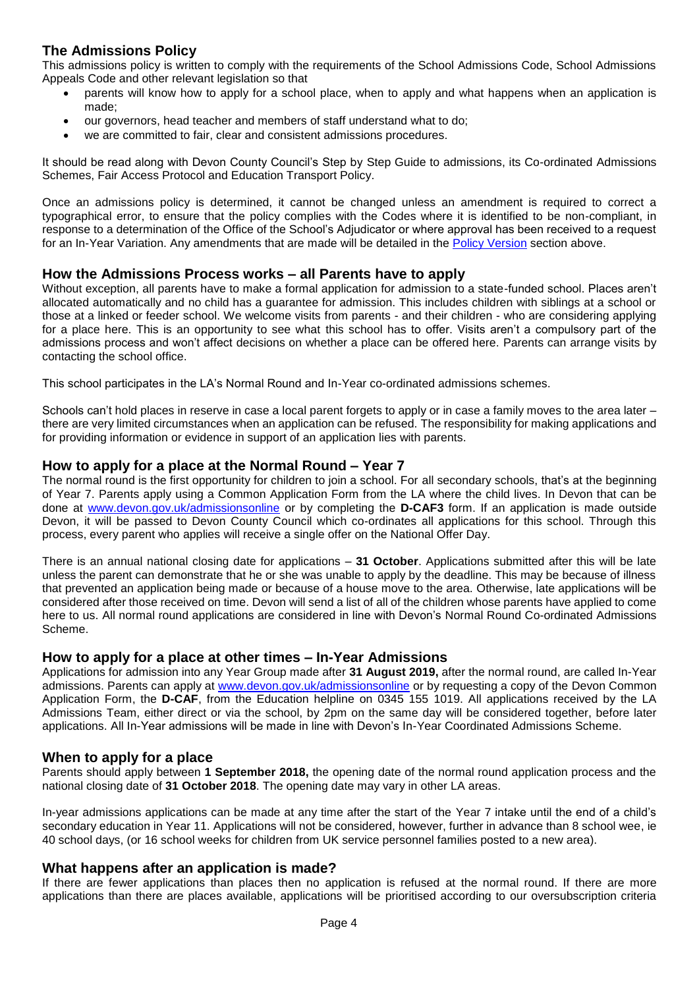## **The Admissions Policy**

This admissions policy is written to comply with the requirements of the School Admissions Code, School Admissions Appeals Code and other relevant legislation so that

- <span id="page-3-0"></span>parents will know how to apply for a school place, when to apply and what happens when an application is made;
- our governors, head teacher and members of staff understand what to do;
- we are committed to fair, clear and consistent admissions procedures.

It should be read along with Devon County Council's Step by Step Guide to admissions, its Co-ordinated Admissions Schemes, Fair Access Protocol and Education Transport Policy.

Once an admissions policy is determined, it cannot be changed unless an amendment is required to correct a typographical error, to ensure that the policy complies with the Codes where it is identified to be non-compliant, in response to a determination of the Office of the School's Adjudicator or where approval has been received to a request for an In-Year Variation. Any amendments that are made will be detailed in the [Policy Version](#page-0-0) section above.

### **How the Admissions Process works – all Parents have to apply**

Without exception, all parents have to make a formal application for admission to a state-funded school. Places aren't allocated automatically and no child has a guarantee for admission. This includes children with siblings at a school or those at a linked or feeder school. We welcome visits from parents - and their children - who are considering applying for a place here. This is an opportunity to see what this school has to offer. Visits aren't a compulsory part of the admissions process and won't affect decisions on whether a place can be offered here. Parents can arrange visits by contacting the school office.

This school participates in the LA's Normal Round and In-Year co-ordinated admissions schemes.

Schools can't hold places in reserve in case a local parent forgets to apply or in case a family moves to the area later – there are very limited circumstances when an application can be refused. The responsibility for making applications and for providing information or evidence in support of an application lies with parents.

#### <span id="page-3-1"></span>**How to apply for a place at the Normal Round – Year 7**

The normal round is the first opportunity for children to join a school. For all secondary schools, that's at the beginning of Year 7. Parents apply using a Common Application Form from the LA where the child lives. In Devon that can be done at [www.devon.gov.uk/admissionsonline](http://www.devon.gov.uk/admissionsonline) or by completing the **D-CAF3** form. If an application is made outside Devon, it will be passed to Devon County Council which co-ordinates all applications for this school. Through this process, every parent who applies will receive a single offer on the National Offer Day.

There is an annual national closing date for applications – **31 October**. Applications submitted after this will be late unless the parent can demonstrate that he or she was unable to apply by the deadline. This may be because of illness that prevented an application being made or because of a house move to the area. Otherwise, late applications will be considered after those received on time. Devon will send a list of all of the children whose parents have applied to come here to us. All normal round applications are considered in line with Devon's Normal Round Co-ordinated Admissions Scheme.

#### <span id="page-3-2"></span>**How to apply for a place at other times – In-Year Admissions**

Applications for admission into any Year Group made after **31 August 2019,** after the normal round, are called In-Year admissions. Parents can apply at [www.devon.gov.uk/admissionsonline](http://www.devon.gov.uk/admissionsonline) or by requesting a copy of the Devon Common Application Form, the **D-CAF**, from the Education helpline on 0345 155 1019. All applications received by the LA Admissions Team, either direct or via the school, by 2pm on the same day will be considered together, before later applications. All In-Year admissions will be made in line with Devon's In-Year Coordinated Admissions Scheme.

#### **When to apply for a place**

Parents should apply between **1 September 2018,** the opening date of the normal round application process and the national closing date of **31 October 2018**. The opening date may vary in other LA areas.

In-year admissions applications can be made at any time after the start of the Year 7 intake until the end of a child's secondary education in Year 11. Applications will not be considered, however, further in advance than 8 school wee, ie 40 school days, (or 16 school weeks for children from UK service personnel families posted to a new area).

#### <span id="page-3-3"></span>**What happens after an application is made?**

If there are fewer applications than places then no application is refused at the normal round. If there are more applications than there are places available, applications will be prioritised according to our oversubscription criteria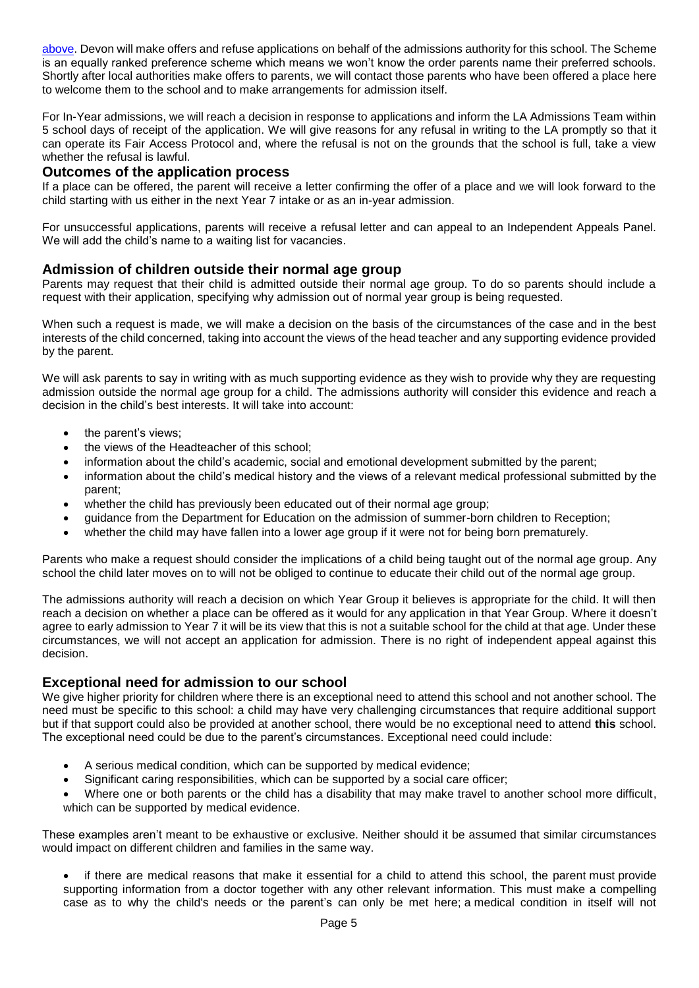[above.](#page-11-0) Devon will make offers and refuse applications on behalf of the admissions authority for this school. The Scheme is an equally ranked preference scheme which means we won't know the order parents name their preferred schools. Shortly after local authorities make offers to parents, we will contact those parents who have been offered a place here to welcome them to the school and to make arrangements for admission itself.

For In-Year admissions, we will reach a decision in response to applications and inform the LA Admissions Team within 5 school days of receipt of the application. We will give reasons for any refusal in writing to the LA promptly so that it can operate its Fair Access Protocol and, where the refusal is not on the grounds that the school is full, take a view whether the refusal is lawful.

### <span id="page-4-0"></span>**Outcomes of the application process**

If a place can be offered, the parent will receive a letter confirming the offer of a place and we will look forward to the child starting with us either in the next Year 7 intake or as an in-year admission.

For unsuccessful applications, parents will receive a refusal letter and can appeal to an Independent Appeals Panel. We will add the child's name to a waiting list for vacancies.

### **Admission of children outside their normal age group**

Parents may request that their child is admitted outside their normal age group. To do so parents should include a request with their application, specifying why admission out of normal year group is being requested.

When such a request is made, we will make a decision on the basis of the circumstances of the case and in the best interests of the child concerned, taking into account the views of the head teacher and any supporting evidence provided by the parent.

We will ask parents to say in writing with as much supporting evidence as they wish to provide why they are requesting admission outside the normal age group for a child. The admissions authority will consider this evidence and reach a decision in the child's best interests. It will take into account:

- the parent's views;
- the views of the Headteacher of this school;
- information about the child's academic, social and emotional development submitted by the parent;
- information about the child's medical history and the views of a relevant medical professional submitted by the parent;
- whether the child has previously been educated out of their normal age group;
- guidance from the Department for Education on the admission of summer-born children to Reception;
- whether the child may have fallen into a lower age group if it were not for being born prematurely.

Parents who make a request should consider the implications of a child being taught out of the normal age group. Any school the child later moves on to will not be obliged to continue to educate their child out of the normal age group.

The admissions authority will reach a decision on which Year Group it believes is appropriate for the child. It will then reach a decision on whether a place can be offered as it would for any application in that Year Group. Where it doesn't agree to early admission to Year 7 it will be its view that this is not a suitable school for the child at that age. Under these circumstances, we will not accept an application for admission. There is no right of independent appeal against this decision.

#### **Exceptional need for admission to our school**

We give higher priority for children where there is an exceptional need to attend this school and not another school. The need must be specific to this school: a child may have very challenging circumstances that require additional support but if that support could also be provided at another school, there would be no exceptional need to attend **this** school. The exceptional need could be due to the parent's circumstances. Exceptional need could include:

- A serious medical condition, which can be supported by medical evidence;
- Significant caring responsibilities, which can be supported by a social care officer;
- Where one or both parents or the child has a disability that may make travel to another school more difficult, which can be supported by medical evidence.

These examples aren't meant to be exhaustive or exclusive. Neither should it be assumed that similar circumstances would impact on different children and families in the same way.

• if there are medical reasons that make it essential for a child to attend this school, the parent must provide supporting information from a doctor together with any other relevant information. This must make a compelling case as to why the child's needs or the parent's can only be met here; a medical condition in itself will not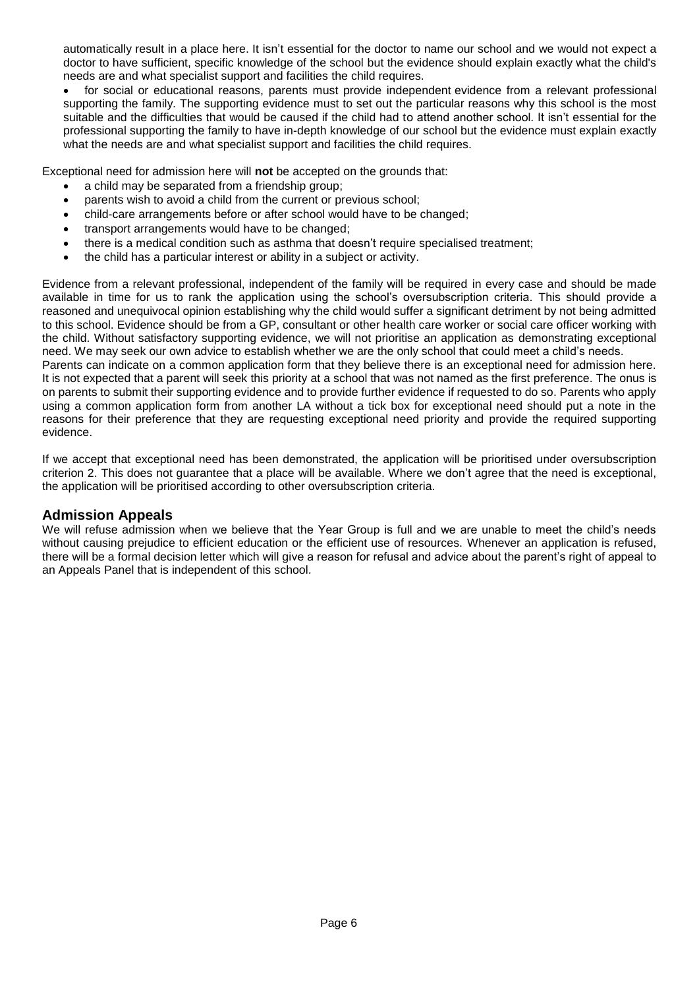automatically result in a place here. It isn't essential for the doctor to name our school and we would not expect a doctor to have sufficient, specific knowledge of the school but the evidence should explain exactly what the child's needs are and what specialist support and facilities the child requires.

for social or educational reasons, parents must provide independent evidence from a relevant professional supporting the family. The supporting evidence must to set out the particular reasons why this school is the most suitable and the difficulties that would be caused if the child had to attend another school. It isn't essential for the professional supporting the family to have in-depth knowledge of our school but the evidence must explain exactly what the needs are and what specialist support and facilities the child requires.

Exceptional need for admission here will **not** be accepted on the grounds that:

- a child may be separated from a friendship group;
- parents wish to avoid a child from the current or previous school;
- child-care arrangements before or after school would have to be changed;
- transport arrangements would have to be changed;
- there is a medical condition such as asthma that doesn't require specialised treatment;
- the child has a particular interest or ability in a subject or activity.

Evidence from a relevant professional, independent of the family will be required in every case and should be made available in time for us to rank the application using the school's oversubscription criteria. This should provide a reasoned and unequivocal opinion establishing why the child would suffer a significant detriment by not being admitted to this school. Evidence should be from a GP, consultant or other health care worker or social care officer working with the child. Without satisfactory supporting evidence, we will not prioritise an application as demonstrating exceptional need. We may seek our own advice to establish whether we are the only school that could meet a child's needs. Parents can indicate on a common application form that they believe there is an exceptional need for admission here. It is not expected that a parent will seek this priority at a school that was not named as the first preference. The onus is on parents to submit their supporting evidence and to provide further evidence if requested to do so. Parents who apply using a common application form from another LA without a tick box for exceptional need should put a note in the reasons for their preference that they are requesting exceptional need priority and provide the required supporting evidence.

If we accept that exceptional need has been demonstrated, the application will be prioritised under oversubscription criterion 2. This does not guarantee that a place will be available. Where we don't agree that the need is exceptional, the application will be prioritised according to other oversubscription criteria.

### <span id="page-5-0"></span>**Admission Appeals**

<span id="page-5-1"></span>We will refuse admission when we believe that the Year Group is full and we are unable to meet the child's needs without causing prejudice to efficient education or the efficient use of resources. Whenever an application is refused, there will be a formal decision letter which will give a reason for refusal and advice about the parent's right of appeal to an Appeals Panel that is independent of this school.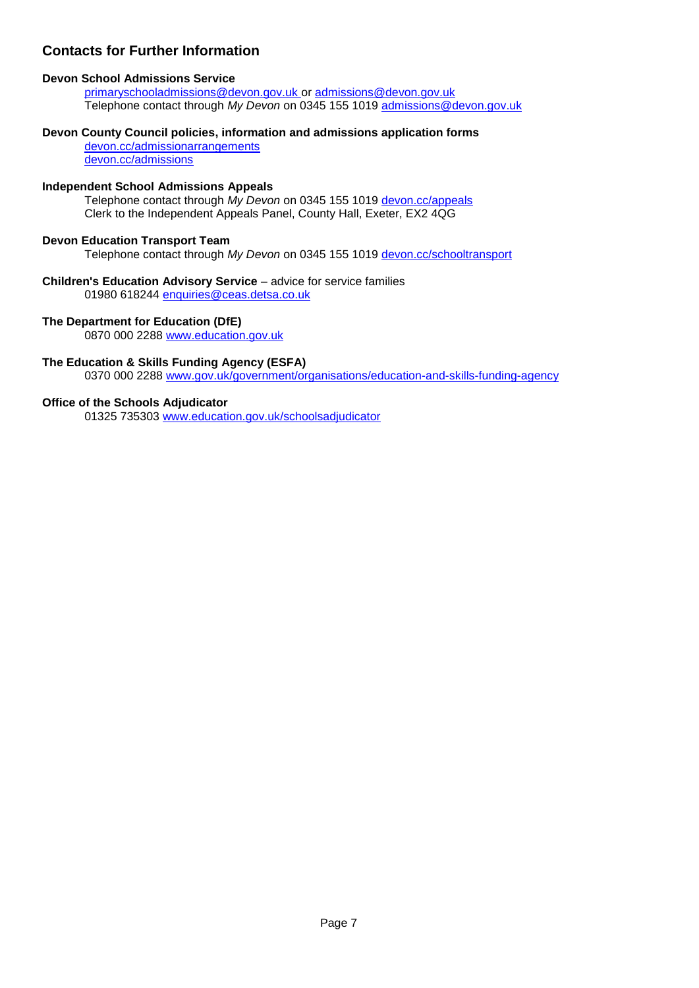## **Contacts for Further Information**

#### **Devon School Admissions Service**

[primaryschooladmissions@devon.gov.uk](mailto:primaryschooladmissions@devon.gov.uk) or [admissions@devon.gov.uk](mailto:admissions@devon.gov.uk) Telephone contact through *My Devon* on 0345 155 1019 [admissions@devon.gov.uk](mailto:admissions@devon.gov.uk)

#### **Devon County Council policies, information and admissions application forms**

[devon.cc/admissionarrangements](http://devon.cc/admissionarrangements) [devon.cc/admissions](http://devon.cc/admissions)

#### **Independent School Admissions Appeals**

Telephone contact through *My Devon* on 0345 155 1019 [devon.cc/appeals](http://devon.cc/appeals) Clerk to the Independent Appeals Panel, County Hall, Exeter, EX2 4QG

#### **Devon Education Transport Team**

Telephone contact through *My Devon* on 0345 155 1019 [devon.cc/schooltransport](http://devon.cc/schooltransport)

#### **Children's Education Advisory Service** – advice for service families

01980 618244 [enquiries@ceas.detsa.co.uk](mailto:enquiries@ceas.detsa.co.uk)

#### **The Department for Education (DfE)**

0870 000 2288 [www.education.gov.uk](http://www.education.gov.uk/)

#### **The Education & Skills Funding Agency (ESFA)**

0370 000 2288 [www.gov.uk/government/organisations/education-and-skills-funding-agency](http://www.gov.uk/government/organisations/education-and-skills-funding-agency)

#### **Office of the Schools Adjudicator**

01325 735303 [www.education.gov.uk/schoolsadjudicator](http://www.education.gov.uk/schoolsadjudicator)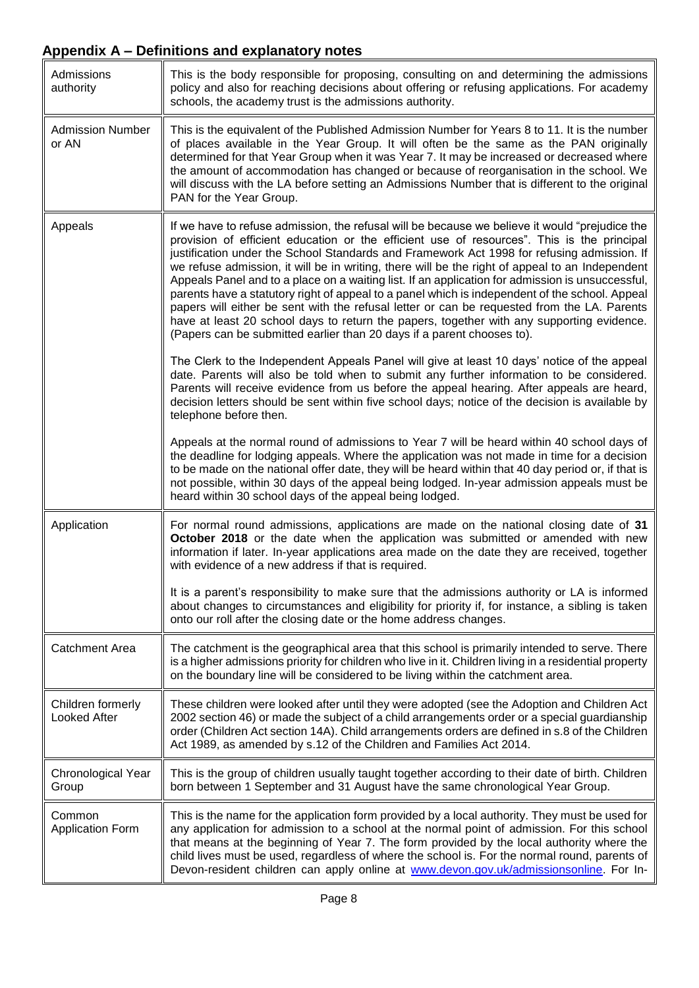<span id="page-7-0"></span>

| Admissions<br>authority                  | This is the body responsible for proposing, consulting on and determining the admissions<br>policy and also for reaching decisions about offering or refusing applications. For academy<br>schools, the academy trust is the admissions authority.                                                                                                                                                                                                                                                                                                                                                                                                                                                                                                                                                                                                                                                                                                                       |
|------------------------------------------|--------------------------------------------------------------------------------------------------------------------------------------------------------------------------------------------------------------------------------------------------------------------------------------------------------------------------------------------------------------------------------------------------------------------------------------------------------------------------------------------------------------------------------------------------------------------------------------------------------------------------------------------------------------------------------------------------------------------------------------------------------------------------------------------------------------------------------------------------------------------------------------------------------------------------------------------------------------------------|
| <b>Admission Number</b><br>or AN         | This is the equivalent of the Published Admission Number for Years 8 to 11. It is the number<br>of places available in the Year Group. It will often be the same as the PAN originally<br>determined for that Year Group when it was Year 7. It may be increased or decreased where<br>the amount of accommodation has changed or because of reorganisation in the school. We<br>will discuss with the LA before setting an Admissions Number that is different to the original<br>PAN for the Year Group.                                                                                                                                                                                                                                                                                                                                                                                                                                                               |
| Appeals                                  | If we have to refuse admission, the refusal will be because we believe it would "prejudice the<br>provision of efficient education or the efficient use of resources". This is the principal<br>justification under the School Standards and Framework Act 1998 for refusing admission. If<br>we refuse admission, it will be in writing, there will be the right of appeal to an Independent<br>Appeals Panel and to a place on a waiting list. If an application for admission is unsuccessful,<br>parents have a statutory right of appeal to a panel which is independent of the school. Appeal<br>papers will either be sent with the refusal letter or can be requested from the LA. Parents<br>have at least 20 school days to return the papers, together with any supporting evidence.<br>(Papers can be submitted earlier than 20 days if a parent chooses to).<br>The Clerk to the Independent Appeals Panel will give at least 10 days' notice of the appeal |
|                                          | date. Parents will also be told when to submit any further information to be considered.<br>Parents will receive evidence from us before the appeal hearing. After appeals are heard,<br>decision letters should be sent within five school days; notice of the decision is available by<br>telephone before then.                                                                                                                                                                                                                                                                                                                                                                                                                                                                                                                                                                                                                                                       |
|                                          | Appeals at the normal round of admissions to Year 7 will be heard within 40 school days of<br>the deadline for lodging appeals. Where the application was not made in time for a decision<br>to be made on the national offer date, they will be heard within that 40 day period or, if that is<br>not possible, within 30 days of the appeal being lodged. In-year admission appeals must be<br>heard within 30 school days of the appeal being lodged.                                                                                                                                                                                                                                                                                                                                                                                                                                                                                                                 |
| Application                              | For normal round admissions, applications are made on the national closing date of 31<br>October 2018 or the date when the application was submitted or amended with new<br>information if later. In-year applications area made on the date they are received, together<br>with evidence of a new address if that is required.                                                                                                                                                                                                                                                                                                                                                                                                                                                                                                                                                                                                                                          |
|                                          | It is a parent's responsibility to make sure that the admissions authority or LA is informed<br>about changes to circumstances and eligibility for priority if, for instance, a sibling is taken<br>onto our roll after the closing date or the home address changes.                                                                                                                                                                                                                                                                                                                                                                                                                                                                                                                                                                                                                                                                                                    |
| <b>Catchment Area</b>                    | The catchment is the geographical area that this school is primarily intended to serve. There<br>is a higher admissions priority for children who live in it. Children living in a residential property<br>on the boundary line will be considered to be living within the catchment area.                                                                                                                                                                                                                                                                                                                                                                                                                                                                                                                                                                                                                                                                               |
| Children formerly<br><b>Looked After</b> | These children were looked after until they were adopted (see the Adoption and Children Act<br>2002 section 46) or made the subject of a child arrangements order or a special guardianship<br>order (Children Act section 14A). Child arrangements orders are defined in s.8 of the Children<br>Act 1989, as amended by s.12 of the Children and Families Act 2014.                                                                                                                                                                                                                                                                                                                                                                                                                                                                                                                                                                                                     |
| Chronological Year<br>Group              | This is the group of children usually taught together according to their date of birth. Children<br>born between 1 September and 31 August have the same chronological Year Group.                                                                                                                                                                                                                                                                                                                                                                                                                                                                                                                                                                                                                                                                                                                                                                                       |
| Common<br><b>Application Form</b>        | This is the name for the application form provided by a local authority. They must be used for<br>any application for admission to a school at the normal point of admission. For this school<br>that means at the beginning of Year 7. The form provided by the local authority where the<br>child lives must be used, regardless of where the school is. For the normal round, parents of<br>Devon-resident children can apply online at www.devon.gov.uk/admissionsonline. For In-                                                                                                                                                                                                                                                                                                                                                                                                                                                                                    |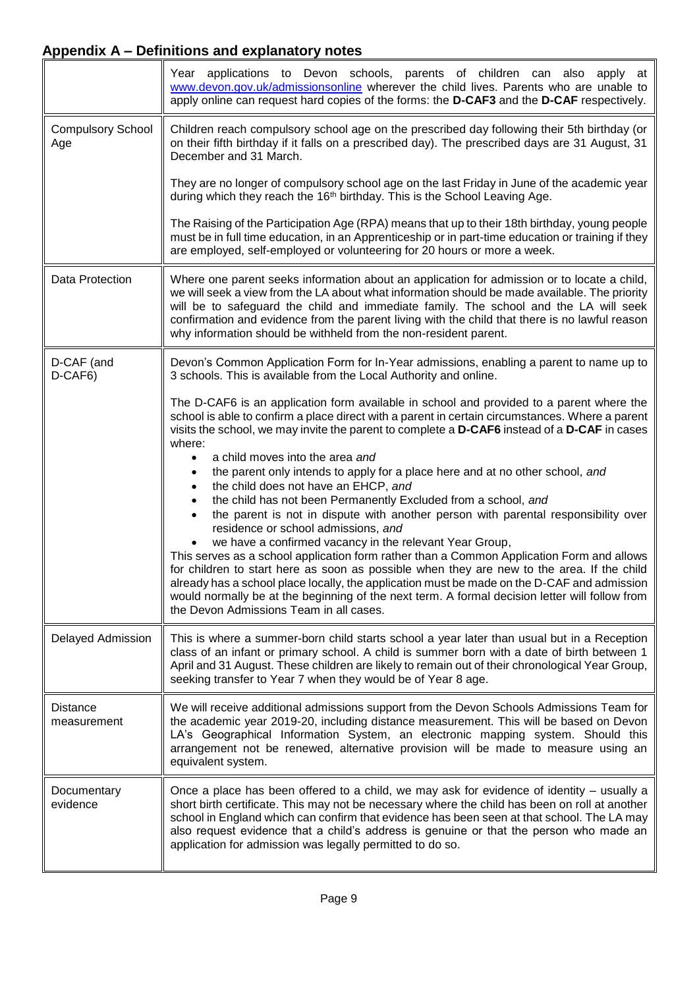|                                 | Year applications to Devon schools, parents of children can also apply at<br>www.devon.gov.uk/admissionsonline wherever the child lives. Parents who are unable to<br>apply online can request hard copies of the forms: the D-CAF3 and the D-CAF respectively.                                                                                                                                                                                                                                                                                                                                                                                                                                                                                                                                                                                                                                                                                                                                                                      |
|---------------------------------|--------------------------------------------------------------------------------------------------------------------------------------------------------------------------------------------------------------------------------------------------------------------------------------------------------------------------------------------------------------------------------------------------------------------------------------------------------------------------------------------------------------------------------------------------------------------------------------------------------------------------------------------------------------------------------------------------------------------------------------------------------------------------------------------------------------------------------------------------------------------------------------------------------------------------------------------------------------------------------------------------------------------------------------|
| <b>Compulsory School</b><br>Age | Children reach compulsory school age on the prescribed day following their 5th birthday (or<br>on their fifth birthday if it falls on a prescribed day). The prescribed days are 31 August, 31<br>December and 31 March.                                                                                                                                                                                                                                                                                                                                                                                                                                                                                                                                                                                                                                                                                                                                                                                                             |
|                                 | They are no longer of compulsory school age on the last Friday in June of the academic year<br>during which they reach the 16 <sup>th</sup> birthday. This is the School Leaving Age.                                                                                                                                                                                                                                                                                                                                                                                                                                                                                                                                                                                                                                                                                                                                                                                                                                                |
|                                 | The Raising of the Participation Age (RPA) means that up to their 18th birthday, young people<br>must be in full time education, in an Apprenticeship or in part-time education or training if they<br>are employed, self-employed or volunteering for 20 hours or more a week.                                                                                                                                                                                                                                                                                                                                                                                                                                                                                                                                                                                                                                                                                                                                                      |
| Data Protection                 | Where one parent seeks information about an application for admission or to locate a child,<br>we will seek a view from the LA about what information should be made available. The priority<br>will be to safeguard the child and immediate family. The school and the LA will seek<br>confirmation and evidence from the parent living with the child that there is no lawful reason<br>why information should be withheld from the non-resident parent.                                                                                                                                                                                                                                                                                                                                                                                                                                                                                                                                                                           |
| D-CAF (and<br>D-CAF6)           | Devon's Common Application Form for In-Year admissions, enabling a parent to name up to<br>3 schools. This is available from the Local Authority and online.                                                                                                                                                                                                                                                                                                                                                                                                                                                                                                                                                                                                                                                                                                                                                                                                                                                                         |
|                                 | The D-CAF6 is an application form available in school and provided to a parent where the<br>school is able to confirm a place direct with a parent in certain circumstances. Where a parent<br>visits the school, we may invite the parent to complete a D-CAF6 instead of a D-CAF in cases<br>where:<br>a child moves into the area and<br>٠<br>the parent only intends to apply for a place here and at no other school, and<br>the child does not have an EHCP, and<br>the child has not been Permanently Excluded from a school, and<br>٠<br>the parent is not in dispute with another person with parental responsibility over<br>٠<br>residence or school admissions, and<br>we have a confirmed vacancy in the relevant Year Group,<br>This serves as a school application form rather than a Common Application Form and allows<br>for children to start here as soon as possible when they are new to the area. If the child<br>already has a school place locally, the application must be made on the D-CAF and admission |
|                                 | would normally be at the beginning of the next term. A formal decision letter will follow from<br>the Devon Admissions Team in all cases.                                                                                                                                                                                                                                                                                                                                                                                                                                                                                                                                                                                                                                                                                                                                                                                                                                                                                            |
| <b>Delayed Admission</b>        | This is where a summer-born child starts school a year later than usual but in a Reception<br>class of an infant or primary school. A child is summer born with a date of birth between 1<br>April and 31 August. These children are likely to remain out of their chronological Year Group,<br>seeking transfer to Year 7 when they would be of Year 8 age.                                                                                                                                                                                                                                                                                                                                                                                                                                                                                                                                                                                                                                                                         |
| <b>Distance</b><br>measurement  | We will receive additional admissions support from the Devon Schools Admissions Team for<br>the academic year 2019-20, including distance measurement. This will be based on Devon<br>LA's Geographical Information System, an electronic mapping system. Should this<br>arrangement not be renewed, alternative provision will be made to measure using an<br>equivalent system.                                                                                                                                                                                                                                                                                                                                                                                                                                                                                                                                                                                                                                                    |
| Documentary<br>evidence         | Once a place has been offered to a child, we may ask for evidence of identity – usually a<br>short birth certificate. This may not be necessary where the child has been on roll at another<br>school in England which can confirm that evidence has been seen at that school. The LA may<br>also request evidence that a child's address is genuine or that the person who made an<br>application for admission was legally permitted to do so.                                                                                                                                                                                                                                                                                                                                                                                                                                                                                                                                                                                     |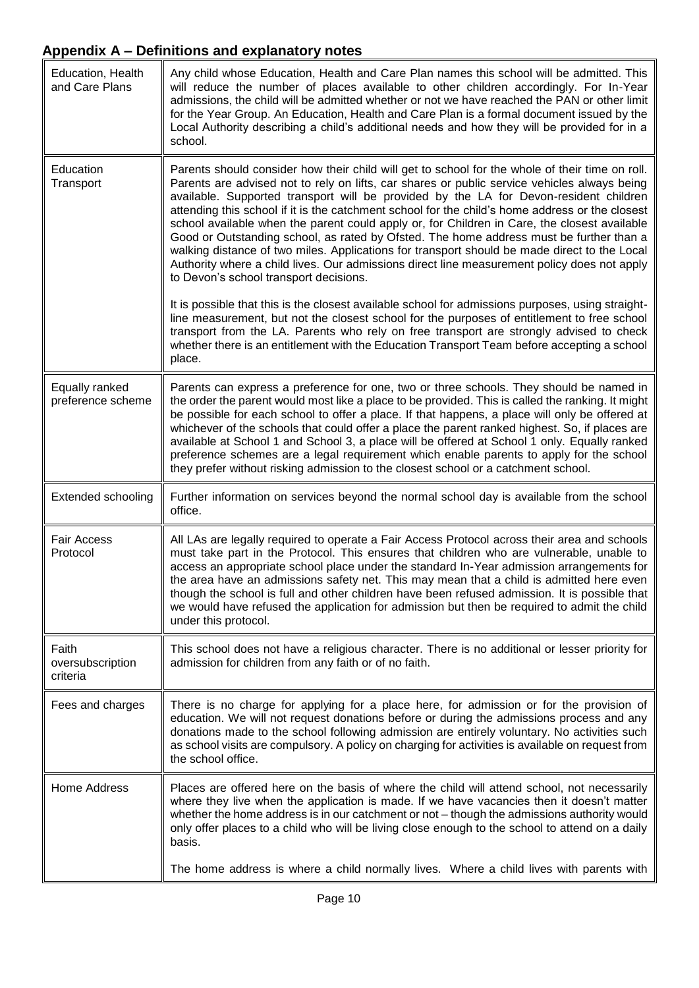| Education, Health<br>and Care Plans   | Any child whose Education, Health and Care Plan names this school will be admitted. This<br>will reduce the number of places available to other children accordingly. For In-Year<br>admissions, the child will be admitted whether or not we have reached the PAN or other limit<br>for the Year Group. An Education, Health and Care Plan is a formal document issued by the<br>Local Authority describing a child's additional needs and how they will be provided for in a<br>school.                                                                                                                                                                                                                                                                                                                                       |
|---------------------------------------|---------------------------------------------------------------------------------------------------------------------------------------------------------------------------------------------------------------------------------------------------------------------------------------------------------------------------------------------------------------------------------------------------------------------------------------------------------------------------------------------------------------------------------------------------------------------------------------------------------------------------------------------------------------------------------------------------------------------------------------------------------------------------------------------------------------------------------|
| Education<br>Transport                | Parents should consider how their child will get to school for the whole of their time on roll.<br>Parents are advised not to rely on lifts, car shares or public service vehicles always being<br>available. Supported transport will be provided by the LA for Devon-resident children<br>attending this school if it is the catchment school for the child's home address or the closest<br>school available when the parent could apply or, for Children in Care, the closest available<br>Good or Outstanding school, as rated by Ofsted. The home address must be further than a<br>walking distance of two miles. Applications for transport should be made direct to the Local<br>Authority where a child lives. Our admissions direct line measurement policy does not apply<br>to Devon's school transport decisions. |
|                                       | It is possible that this is the closest available school for admissions purposes, using straight-<br>line measurement, but not the closest school for the purposes of entitlement to free school<br>transport from the LA. Parents who rely on free transport are strongly advised to check<br>whether there is an entitlement with the Education Transport Team before accepting a school<br>place.                                                                                                                                                                                                                                                                                                                                                                                                                            |
| Equally ranked<br>preference scheme   | Parents can express a preference for one, two or three schools. They should be named in<br>the order the parent would most like a place to be provided. This is called the ranking. It might<br>be possible for each school to offer a place. If that happens, a place will only be offered at<br>whichever of the schools that could offer a place the parent ranked highest. So, if places are<br>available at School 1 and School 3, a place will be offered at School 1 only. Equally ranked<br>preference schemes are a legal requirement which enable parents to apply for the school<br>they prefer without risking admission to the closest school or a catchment school.                                                                                                                                               |
| <b>Extended schooling</b>             | Further information on services beyond the normal school day is available from the school<br>office.                                                                                                                                                                                                                                                                                                                                                                                                                                                                                                                                                                                                                                                                                                                            |
| <b>Fair Access</b><br>Protocol        | All LAs are legally required to operate a Fair Access Protocol across their area and schools<br>must take part in the Protocol. This ensures that children who are vulnerable, unable to<br>access an appropriate school place under the standard In-Year admission arrangements for<br>the area have an admissions safety net. This may mean that a child is admitted here even<br>though the school is full and other children have been refused admission. It is possible that<br>we would have refused the application for admission but then be required to admit the child<br>under this protocol.                                                                                                                                                                                                                        |
| Faith<br>oversubscription<br>criteria | This school does not have a religious character. There is no additional or lesser priority for<br>admission for children from any faith or of no faith.                                                                                                                                                                                                                                                                                                                                                                                                                                                                                                                                                                                                                                                                         |
| Fees and charges                      | There is no charge for applying for a place here, for admission or for the provision of<br>education. We will not request donations before or during the admissions process and any<br>donations made to the school following admission are entirely voluntary. No activities such<br>as school visits are compulsory. A policy on charging for activities is available on request from<br>the school office.                                                                                                                                                                                                                                                                                                                                                                                                                   |
| <b>Home Address</b>                   | Places are offered here on the basis of where the child will attend school, not necessarily<br>where they live when the application is made. If we have vacancies then it doesn't matter<br>whether the home address is in our catchment or not - though the admissions authority would<br>only offer places to a child who will be living close enough to the school to attend on a daily<br>basis.                                                                                                                                                                                                                                                                                                                                                                                                                            |
|                                       | The home address is where a child normally lives. Where a child lives with parents with                                                                                                                                                                                                                                                                                                                                                                                                                                                                                                                                                                                                                                                                                                                                         |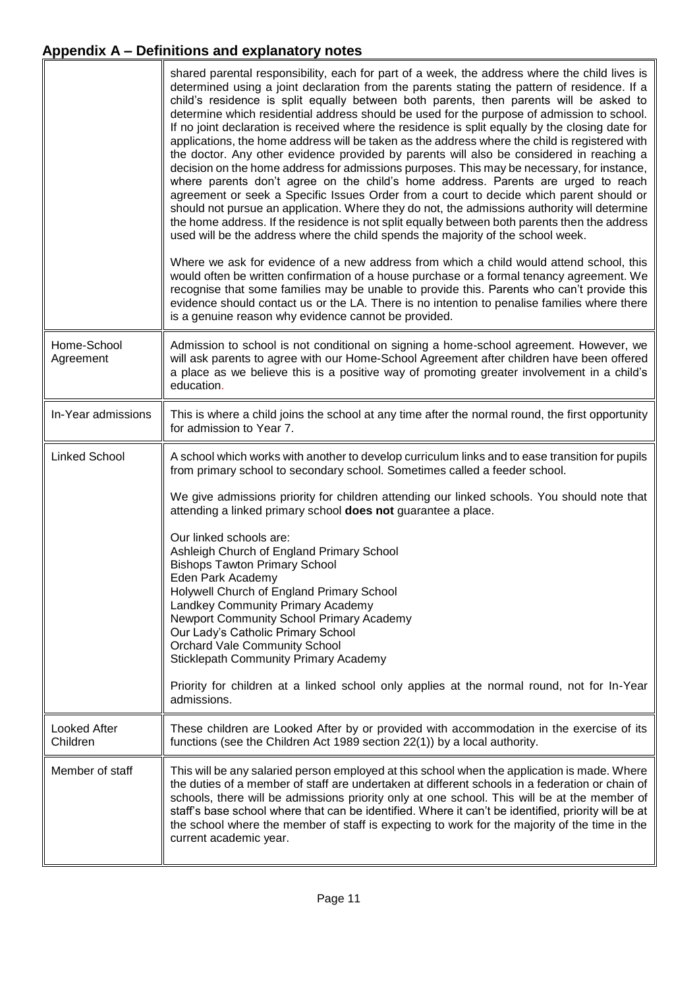<span id="page-10-0"></span>

|                                 | shared parental responsibility, each for part of a week, the address where the child lives is<br>determined using a joint declaration from the parents stating the pattern of residence. If a<br>child's residence is split equally between both parents, then parents will be asked to<br>determine which residential address should be used for the purpose of admission to school.<br>If no joint declaration is received where the residence is split equally by the closing date for<br>applications, the home address will be taken as the address where the child is registered with<br>the doctor. Any other evidence provided by parents will also be considered in reaching a<br>decision on the home address for admissions purposes. This may be necessary, for instance,<br>where parents don't agree on the child's home address. Parents are urged to reach<br>agreement or seek a Specific Issues Order from a court to decide which parent should or<br>should not pursue an application. Where they do not, the admissions authority will determine<br>the home address. If the residence is not split equally between both parents then the address<br>used will be the address where the child spends the majority of the school week.<br>Where we ask for evidence of a new address from which a child would attend school, this<br>would often be written confirmation of a house purchase or a formal tenancy agreement. We<br>recognise that some families may be unable to provide this. Parents who can't provide this<br>evidence should contact us or the LA. There is no intention to penalise families where there<br>is a genuine reason why evidence cannot be provided. |
|---------------------------------|----------------------------------------------------------------------------------------------------------------------------------------------------------------------------------------------------------------------------------------------------------------------------------------------------------------------------------------------------------------------------------------------------------------------------------------------------------------------------------------------------------------------------------------------------------------------------------------------------------------------------------------------------------------------------------------------------------------------------------------------------------------------------------------------------------------------------------------------------------------------------------------------------------------------------------------------------------------------------------------------------------------------------------------------------------------------------------------------------------------------------------------------------------------------------------------------------------------------------------------------------------------------------------------------------------------------------------------------------------------------------------------------------------------------------------------------------------------------------------------------------------------------------------------------------------------------------------------------------------------------------------------------------------------------------------------------------------|
| Home-School<br>Agreement        | Admission to school is not conditional on signing a home-school agreement. However, we<br>will ask parents to agree with our Home-School Agreement after children have been offered<br>a place as we believe this is a positive way of promoting greater involvement in a child's<br>education.                                                                                                                                                                                                                                                                                                                                                                                                                                                                                                                                                                                                                                                                                                                                                                                                                                                                                                                                                                                                                                                                                                                                                                                                                                                                                                                                                                                                          |
| In-Year admissions              | This is where a child joins the school at any time after the normal round, the first opportunity<br>for admission to Year 7.                                                                                                                                                                                                                                                                                                                                                                                                                                                                                                                                                                                                                                                                                                                                                                                                                                                                                                                                                                                                                                                                                                                                                                                                                                                                                                                                                                                                                                                                                                                                                                             |
| <b>Linked School</b>            | A school which works with another to develop curriculum links and to ease transition for pupils<br>from primary school to secondary school. Sometimes called a feeder school.                                                                                                                                                                                                                                                                                                                                                                                                                                                                                                                                                                                                                                                                                                                                                                                                                                                                                                                                                                                                                                                                                                                                                                                                                                                                                                                                                                                                                                                                                                                            |
|                                 | We give admissions priority for children attending our linked schools. You should note that<br>attending a linked primary school does not guarantee a place.                                                                                                                                                                                                                                                                                                                                                                                                                                                                                                                                                                                                                                                                                                                                                                                                                                                                                                                                                                                                                                                                                                                                                                                                                                                                                                                                                                                                                                                                                                                                             |
|                                 | Our linked schools are:<br>Ashleigh Church of England Primary School<br><b>Bishops Tawton Primary School</b><br>Eden Park Academy<br>Holywell Church of England Primary School<br>Landkey Community Primary Academy<br>Newport Community School Primary Academy<br>Our Lady's Catholic Primary School<br><b>Orchard Vale Community School</b><br><b>Sticklepath Community Primary Academy</b>                                                                                                                                                                                                                                                                                                                                                                                                                                                                                                                                                                                                                                                                                                                                                                                                                                                                                                                                                                                                                                                                                                                                                                                                                                                                                                            |
|                                 | Priority for children at a linked school only applies at the normal round, not for In-Year<br>admissions.                                                                                                                                                                                                                                                                                                                                                                                                                                                                                                                                                                                                                                                                                                                                                                                                                                                                                                                                                                                                                                                                                                                                                                                                                                                                                                                                                                                                                                                                                                                                                                                                |
| <b>Looked After</b><br>Children | These children are Looked After by or provided with accommodation in the exercise of its<br>functions (see the Children Act 1989 section 22(1)) by a local authority.                                                                                                                                                                                                                                                                                                                                                                                                                                                                                                                                                                                                                                                                                                                                                                                                                                                                                                                                                                                                                                                                                                                                                                                                                                                                                                                                                                                                                                                                                                                                    |
| Member of staff                 | This will be any salaried person employed at this school when the application is made. Where<br>the duties of a member of staff are undertaken at different schools in a federation or chain of<br>schools, there will be admissions priority only at one school. This will be at the member of<br>staff's base school where that can be identified. Where it can't be identified, priority will be at<br>the school where the member of staff is expecting to work for the majority of the time in the<br>current academic year.                                                                                                                                                                                                                                                                                                                                                                                                                                                                                                                                                                                                                                                                                                                                                                                                                                                                                                                                                                                                                                                                                                                                                                        |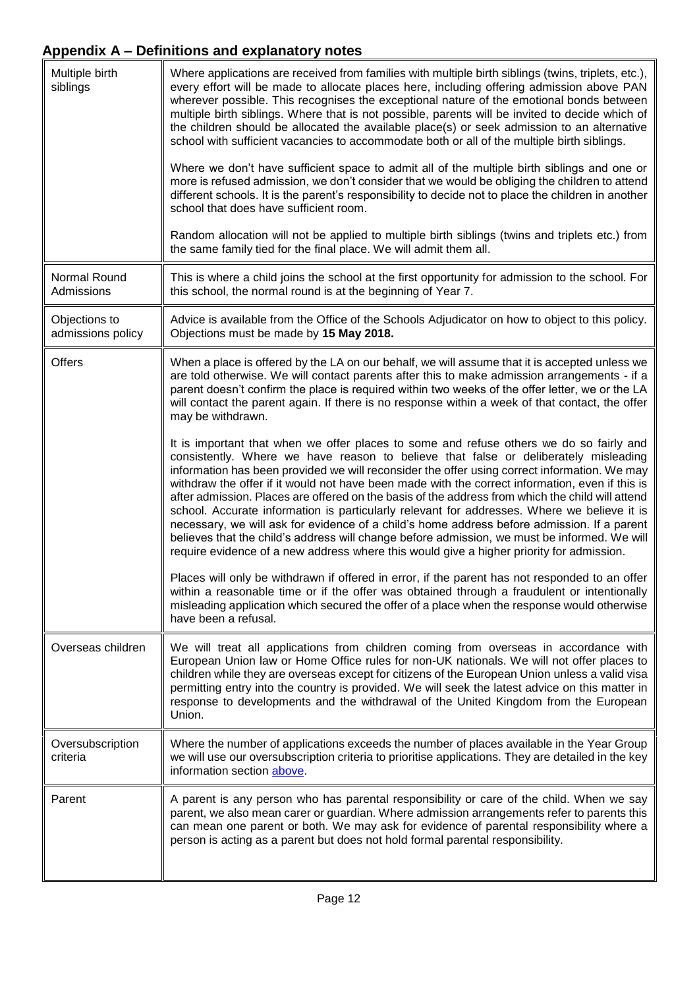<span id="page-11-0"></span>

| Multiple birth<br>siblings         | Where applications are received from families with multiple birth siblings (twins, triplets, etc.),<br>every effort will be made to allocate places here, including offering admission above PAN<br>wherever possible. This recognises the exceptional nature of the emotional bonds between<br>multiple birth siblings. Where that is not possible, parents will be invited to decide which of<br>the children should be allocated the available place(s) or seek admission to an alternative<br>school with sufficient vacancies to accommodate both or all of the multiple birth siblings.<br>Where we don't have sufficient space to admit all of the multiple birth siblings and one or<br>more is refused admission, we don't consider that we would be obliging the children to attend<br>different schools. It is the parent's responsibility to decide not to place the children in another<br>school that does have sufficient room.<br>Random allocation will not be applied to multiple birth siblings (twins and triplets etc.) from |
|------------------------------------|---------------------------------------------------------------------------------------------------------------------------------------------------------------------------------------------------------------------------------------------------------------------------------------------------------------------------------------------------------------------------------------------------------------------------------------------------------------------------------------------------------------------------------------------------------------------------------------------------------------------------------------------------------------------------------------------------------------------------------------------------------------------------------------------------------------------------------------------------------------------------------------------------------------------------------------------------------------------------------------------------------------------------------------------------|
|                                    | the same family tied for the final place. We will admit them all.                                                                                                                                                                                                                                                                                                                                                                                                                                                                                                                                                                                                                                                                                                                                                                                                                                                                                                                                                                                 |
| Normal Round<br>Admissions         | This is where a child joins the school at the first opportunity for admission to the school. For<br>this school, the normal round is at the beginning of Year 7.                                                                                                                                                                                                                                                                                                                                                                                                                                                                                                                                                                                                                                                                                                                                                                                                                                                                                  |
| Objections to<br>admissions policy | Advice is available from the Office of the Schools Adjudicator on how to object to this policy.<br>Objections must be made by 15 May 2018.                                                                                                                                                                                                                                                                                                                                                                                                                                                                                                                                                                                                                                                                                                                                                                                                                                                                                                        |
| <b>Offers</b>                      | When a place is offered by the LA on our behalf, we will assume that it is accepted unless we<br>are told otherwise. We will contact parents after this to make admission arrangements - if a<br>parent doesn't confirm the place is required within two weeks of the offer letter, we or the LA<br>will contact the parent again. If there is no response within a week of that contact, the offer<br>may be withdrawn.                                                                                                                                                                                                                                                                                                                                                                                                                                                                                                                                                                                                                          |
|                                    | It is important that when we offer places to some and refuse others we do so fairly and<br>consistently. Where we have reason to believe that false or deliberately misleading<br>information has been provided we will reconsider the offer using correct information. We may<br>withdraw the offer if it would not have been made with the correct information, even if this is<br>after admission. Places are offered on the basis of the address from which the child will attend<br>school. Accurate information is particularly relevant for addresses. Where we believe it is<br>necessary, we will ask for evidence of a child's home address before admission. If a parent<br>believes that the child's address will change before admission, we must be informed. We will<br>require evidence of a new address where this would give a higher priority for admission.                                                                                                                                                                   |
|                                    | Places will only be withdrawn if offered in error, if the parent has not responded to an offer<br>within a reasonable time or if the offer was obtained through a fraudulent or intentionally<br>misleading application which secured the offer of a place when the response would otherwise<br>have been a refusal.                                                                                                                                                                                                                                                                                                                                                                                                                                                                                                                                                                                                                                                                                                                              |
| Overseas children                  | We will treat all applications from children coming from overseas in accordance with<br>European Union law or Home Office rules for non-UK nationals. We will not offer places to<br>children while they are overseas except for citizens of the European Union unless a valid visa<br>permitting entry into the country is provided. We will seek the latest advice on this matter in<br>response to developments and the withdrawal of the United Kingdom from the European<br>Union.                                                                                                                                                                                                                                                                                                                                                                                                                                                                                                                                                           |
| Oversubscription<br>criteria       | Where the number of applications exceeds the number of places available in the Year Group<br>we will use our oversubscription criteria to prioritise applications. They are detailed in the key<br>information section above.                                                                                                                                                                                                                                                                                                                                                                                                                                                                                                                                                                                                                                                                                                                                                                                                                     |
| Parent                             | A parent is any person who has parental responsibility or care of the child. When we say<br>parent, we also mean carer or guardian. Where admission arrangements refer to parents this<br>can mean one parent or both. We may ask for evidence of parental responsibility where a<br>person is acting as a parent but does not hold formal parental responsibility.                                                                                                                                                                                                                                                                                                                                                                                                                                                                                                                                                                                                                                                                               |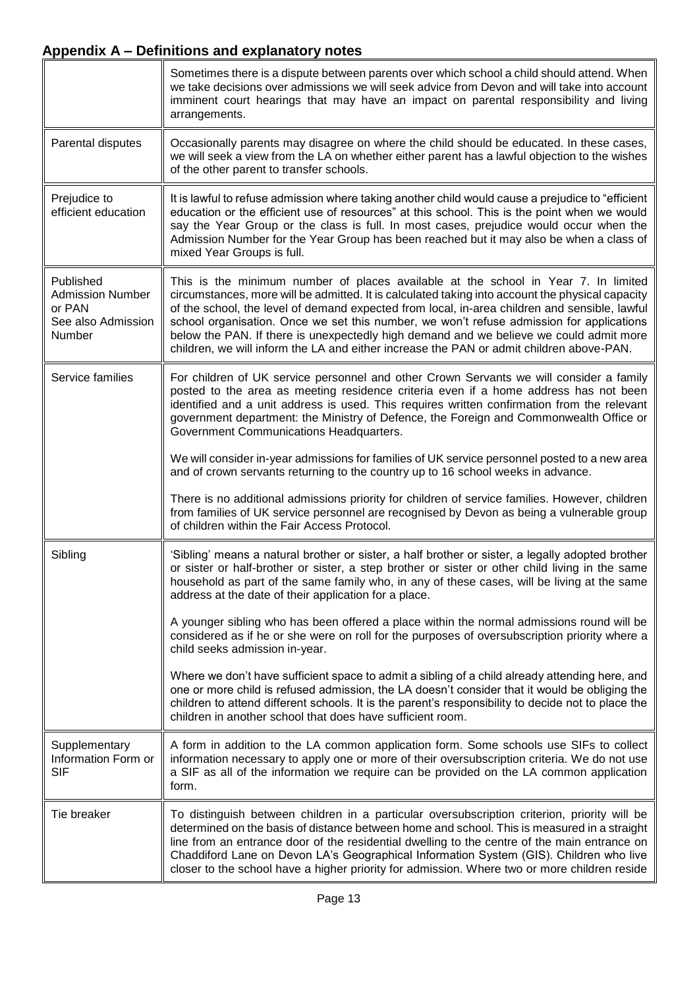<span id="page-12-2"></span><span id="page-12-1"></span><span id="page-12-0"></span>

|                                                                                | Sometimes there is a dispute between parents over which school a child should attend. When<br>we take decisions over admissions we will seek advice from Devon and will take into account<br>imminent court hearings that may have an impact on parental responsibility and living<br>arrangements.                                                                                                                                                                                                                                                                       |
|--------------------------------------------------------------------------------|---------------------------------------------------------------------------------------------------------------------------------------------------------------------------------------------------------------------------------------------------------------------------------------------------------------------------------------------------------------------------------------------------------------------------------------------------------------------------------------------------------------------------------------------------------------------------|
| Parental disputes                                                              | Occasionally parents may disagree on where the child should be educated. In these cases,<br>we will seek a view from the LA on whether either parent has a lawful objection to the wishes<br>of the other parent to transfer schools.                                                                                                                                                                                                                                                                                                                                     |
| Prejudice to<br>efficient education                                            | It is lawful to refuse admission where taking another child would cause a prejudice to "efficient<br>education or the efficient use of resources" at this school. This is the point when we would<br>say the Year Group or the class is full. In most cases, prejudice would occur when the<br>Admission Number for the Year Group has been reached but it may also be when a class of<br>mixed Year Groups is full.                                                                                                                                                      |
| Published<br><b>Admission Number</b><br>or PAN<br>See also Admission<br>Number | This is the minimum number of places available at the school in Year 7. In limited<br>circumstances, more will be admitted. It is calculated taking into account the physical capacity<br>of the school, the level of demand expected from local, in-area children and sensible, lawful<br>school organisation. Once we set this number, we won't refuse admission for applications<br>below the PAN. If there is unexpectedly high demand and we believe we could admit more<br>children, we will inform the LA and either increase the PAN or admit children above-PAN. |
| Service families                                                               | For children of UK service personnel and other Crown Servants we will consider a family<br>posted to the area as meeting residence criteria even if a home address has not been<br>identified and a unit address is used. This requires written confirmation from the relevant<br>government department: the Ministry of Defence, the Foreign and Commonwealth Office or<br>Government Communications Headquarters.                                                                                                                                                       |
|                                                                                | We will consider in-year admissions for families of UK service personnel posted to a new area<br>and of crown servants returning to the country up to 16 school weeks in advance.                                                                                                                                                                                                                                                                                                                                                                                         |
|                                                                                | There is no additional admissions priority for children of service families. However, children<br>from families of UK service personnel are recognised by Devon as being a vulnerable group<br>of children within the Fair Access Protocol.                                                                                                                                                                                                                                                                                                                               |
| Sibling                                                                        | 'Sibling' means a natural brother or sister, a half brother or sister, a legally adopted brother<br>or sister or half-brother or sister, a step brother or sister or other child living in the same<br>household as part of the same family who, in any of these cases, will be living at the same<br>address at the date of their application for a place.                                                                                                                                                                                                               |
|                                                                                | A younger sibling who has been offered a place within the normal admissions round will be<br>considered as if he or she were on roll for the purposes of oversubscription priority where a<br>child seeks admission in-year.                                                                                                                                                                                                                                                                                                                                              |
|                                                                                | Where we don't have sufficient space to admit a sibling of a child already attending here, and<br>one or more child is refused admission, the LA doesn't consider that it would be obliging the<br>children to attend different schools. It is the parent's responsibility to decide not to place the<br>children in another school that does have sufficient room.                                                                                                                                                                                                       |
| Supplementary<br>Information Form or<br><b>SIF</b>                             | A form in addition to the LA common application form. Some schools use SIFs to collect<br>information necessary to apply one or more of their oversubscription criteria. We do not use<br>a SIF as all of the information we require can be provided on the LA common application<br>form.                                                                                                                                                                                                                                                                                |
| Tie breaker                                                                    | To distinguish between children in a particular oversubscription criterion, priority will be<br>determined on the basis of distance between home and school. This is measured in a straight<br>line from an entrance door of the residential dwelling to the centre of the main entrance on<br>Chaddiford Lane on Devon LA's Geographical Information System (GIS). Children who live<br>closer to the school have a higher priority for admission. Where two or more children reside                                                                                     |